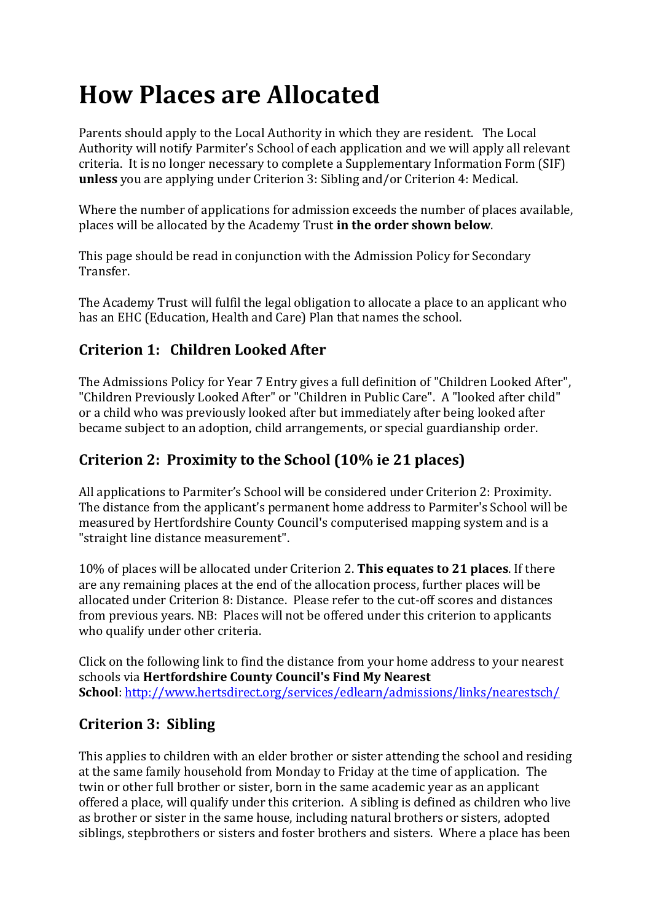# **How Places are Allocated**

Parents should apply to the Local Authority in which they are resident. The Local Authority will notify Parmiter's School of each application and we will apply all relevant criteria. It is no longer necessary to complete a Supplementary Information Form (SIF) **unless** you are applying under Criterion 3: Sibling and/or Criterion 4: Medical.

Where the number of applications for admission exceeds the number of places available, places will be allocated by the Academy Trust **in the order shown below**.

This page should be read in conjunction with the Admission Policy for Secondary Transfer.

The Academy Trust will fulfil the legal obligation to allocate a place to an applicant who has an EHC (Education, Health and Care) Plan that names the school.

## **Criterion 1: Children Looked After**

The Admissions Policy for Year 7 Entry gives a full definition of "Children Looked After", "Children Previously Looked After" or "Children in Public Care". A "looked after child" or a child who was previously looked after but immediately after being looked after became subject to an adoption, child arrangements, or special guardianship order.

#### **Criterion 2: Proximity to the School (10% ie 21 places)**

All applications to Parmiter's School will be considered under Criterion 2: Proximity. The distance from the applicant's permanent home address to Parmiter's School will be measured by Hertfordshire County Council's computerised mapping system and is a "straight line distance measurement".

10% of places will be allocated under Criterion 2. **This equates to 21 places**. If there are any remaining places at the end of the allocation process, further places will be allocated under Criterion 8: Distance. Please refer to the cut-off scores and distances from previous years. NB: Places will not be offered under this criterion to applicants who qualify under other criteria.

Click on the following link to find the distance from your home address to your nearest schools via **Hertfordshire County Council's Find My Nearest School**: <http://www.hertsdirect.org/services/edlearn/admissions/links/nearestsch/>

## **Criterion 3: Sibling**

This applies to children with an elder brother or sister attending the school and residing at the same family household from Monday to Friday at the time of application. The twin or other full brother or sister, born in the same academic year as an applicant offered a place, will qualify under this criterion. A sibling is defined as children who live as brother or sister in the same house, including natural brothers or sisters, adopted siblings, stepbrothers or sisters and foster brothers and sisters. Where a place has been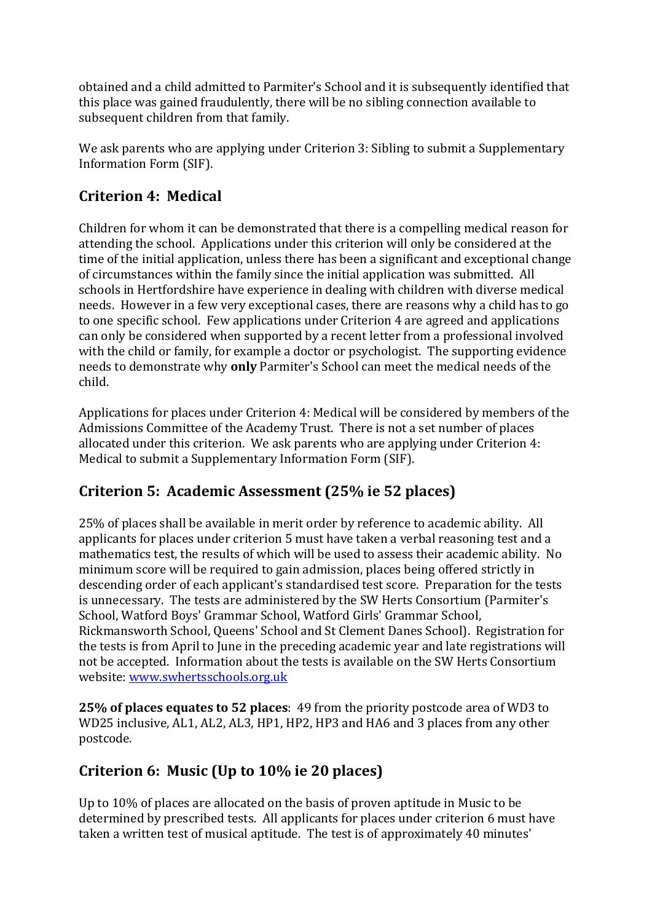obtained and a child admitted to Parmiter's School and it is subsequently identified that this place was gained fraudulently, there will be no sibling connection available to subsequent children from that family.

We ask parents who are applying under Criterion 3: Sibling to submit a Supplementary Information Form (SIF).

## **Criterion 4: Medical**

Children for whom it can be demonstrated that there is a compelling medical reason for attending the school. Applications under this criterion will only be considered at the time of the initial application, unless there has been a significant and exceptional change of circumstances within the family since the initial application was submitted. All schools in Hertfordshire have experience in dealing with children with diverse medical needs. However in a few very exceptional cases, there are reasons why a child has to go to one specific school. Few applications under Criterion 4 are agreed and applications can only be considered when supported by a recent letter from a professional involved with the child or family, for example a doctor or psychologist. The supporting evidence needs to demonstrate why **only** Parmiter's School can meet the medical needs of the child.

Applications for places under Criterion 4: Medical will be considered by members of the Admissions Committee of the Academy Trust. There is not a set number of places allocated under this criterion. We ask parents who are applying under Criterion 4: Medical to submit a Supplementary Information Form (SIF).

## **Criterion 5: Academic Assessment (25% ie 52 places)**

25% of places shall be available in merit order by reference to academic ability. All applicants for places under criterion 5 must have taken a verbal reasoning test and a mathematics test, the results of which will be used to assess their academic ability. No minimum score will be required to gain admission, places being offered strictly in descending order of each applicant's standardised test score. Preparation for the tests is unnecessary. The tests are administered by the SW Herts Consortium (Parmiter's School, Watford Boys' Grammar School, Watford Girls' Grammar School, Rickmansworth School, Queens' School and St Clement Danes School). Registration for the tests is from April to June in the preceding academic year and late registrations will not be accepted. Information about the tests is available on the SW Herts Consortium website: [www.swhertsschools.org.uk](http://www.swhertsschools.org.uk/)

**25% of places equates to 52 places**: 49 from the priority postcode area of WD3 to WD25 inclusive, AL1, AL2, AL3, HP1, HP2, HP3 and HA6 and 3 places from any other postcode.

## **Criterion 6: Music (Up to 10% ie 20 places)**

Up to 10% of places are allocated on the basis of proven aptitude in Music to be determined by prescribed tests. All applicants for places under criterion 6 must have taken a written test of musical aptitude. The test is of approximately 40 minutes'